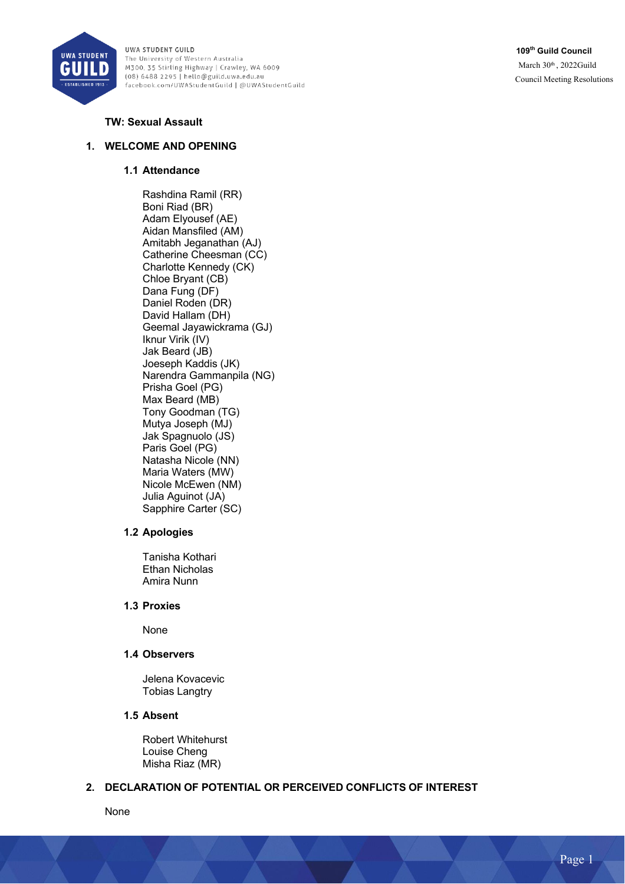

**109th Guild Council** March 30th, 2022Guild Council Meeting Resolutions

### **TW: Sexual Assault**

# **1. WELCOME AND OPENING**

#### **1.1 Attendance**

Rashdina Ramil (RR) Boni Riad (BR) Adam Elyousef (AE) Aidan Mansfiled (AM) Amitabh Jeganathan (AJ) Catherine Cheesman (CC) Charlotte Kennedy (CK) Chloe Bryant (CB) Dana Fung (DF) Daniel Roden (DR) David Hallam (DH) Geemal Jayawickrama (GJ) Iknur Virik (IV) Jak Beard (JB) Joeseph Kaddis (JK) Narendra Gammanpila (NG) Prisha Goel (PG) Max Beard (MB) Tony Goodman (TG) Mutya Joseph (MJ) Jak Spagnuolo (JS) Paris Goel (PG) Natasha Nicole (NN) Maria Waters (MW) Nicole McEwen (NM) Julia Aguinot (JA) Sapphire Carter (SC)

#### **1.2 Apologies**

Tanisha Kothari Ethan Nicholas Amira Nunn

### **1.3 Proxies**

None

#### **1.4 Observers**

Jelena Kovacevic Tobias Langtry

#### **1.5 Absent**

Robert Whitehurst Louise Cheng Misha Riaz (MR)

# **2. DECLARATION OF POTENTIAL OR PERCEIVED CONFLICTS OF INTEREST**

None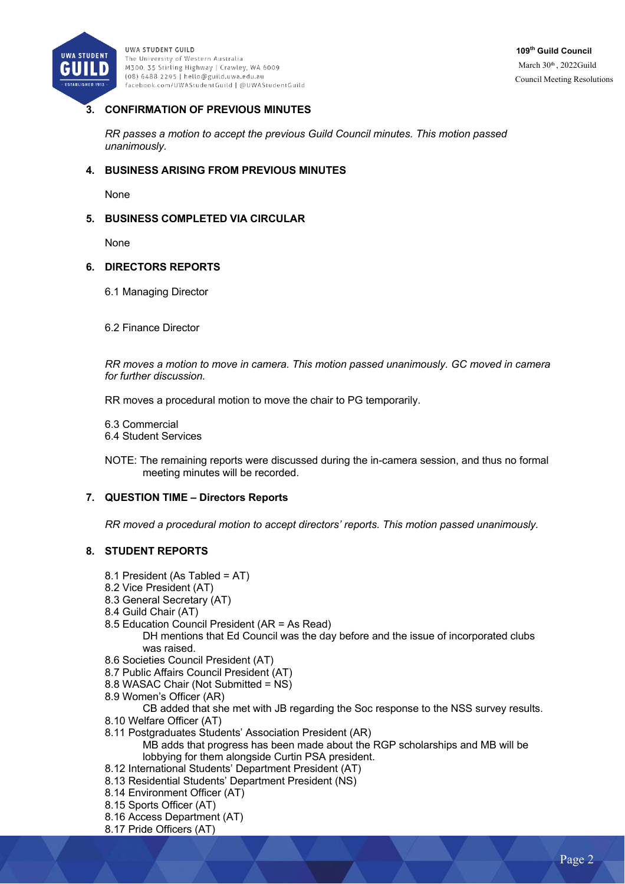

# **3. CONFIRMATION OF PREVIOUS MINUTES**

*RR passes a motion to accept the previous Guild Council minutes. This motion passed unanimously.*

### **4. BUSINESS ARISING FROM PREVIOUS MINUTES**

None

### **5. BUSINESS COMPLETED VIA CIRCULAR**

None

#### **6. DIRECTORS REPORTS**

- 6.1 Managing Director
- 6.2 Finance Director

*RR moves a motion to move in camera. This motion passed unanimously. GC moved in camera for further discussion.* 

RR moves a procedural motion to move the chair to PG temporarily.

- 6.3 Commercial
- 6.4 Student Services

NOTE: The remaining reports were discussed during the in-camera session, and thus no formal meeting minutes will be recorded.

#### **7. QUESTION TIME – Directors Reports**

*RR moved a procedural motion to accept directors' reports. This motion passed unanimously.*

#### **8. STUDENT REPORTS**

- 8.1 President (As Tabled = AT)
- 8.2 Vice President (AT)
- 8.3 General Secretary (AT)
- 8.4 Guild Chair (AT)
- 8.5 Education Council President (AR = As Read) DH mentions that Ed Council was the day before and the issue of incorporated clubs was raised.
- 8.6 Societies Council President (AT)
- 8.7 Public Affairs Council President (AT)
- 8.8 WASAC Chair (Not Submitted = NS)
- 8.9 Women's Officer (AR)
	- CB added that she met with JB regarding the Soc response to the NSS survey results.
- 8.10 Welfare Officer (AT)
- 8.11 Postgraduates Students' Association President (AR)

MB adds that progress has been made about the RGP scholarships and MB will be lobbying for them alongside Curtin PSA president.

- 8.12 International Students' Department President (AT)
- 8.13 Residential Students' Department President (NS)
- 8.14 Environment Officer (AT)
- 8.15 Sports Officer (AT)
- 8.16 Access Department (AT)
- 8.17 Pride Officers (AT)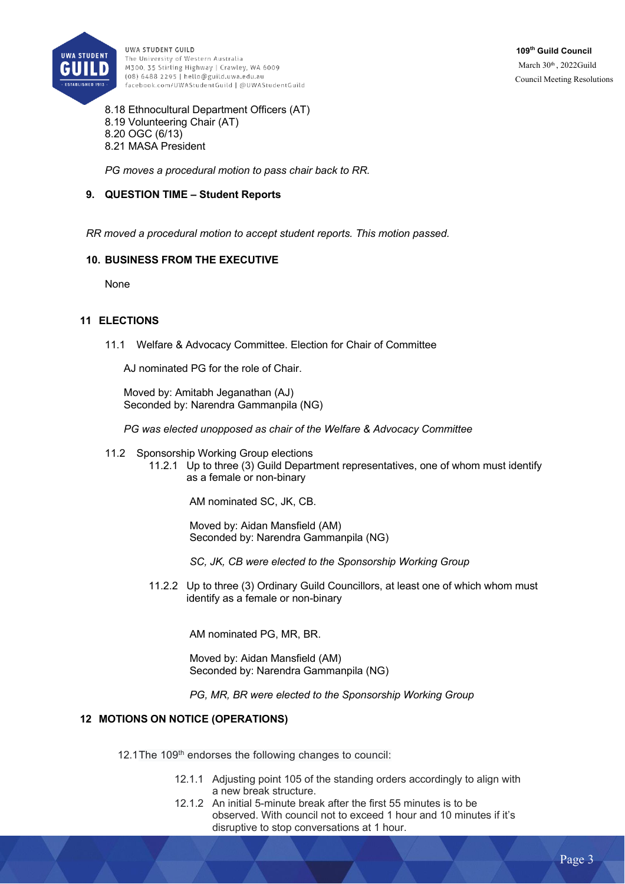

8.18 Ethnocultural Department Officers (AT) 8.19 Volunteering Chair (AT) 8.20 OGC (6/13) 8.21 MASA President

*PG moves a procedural motion to pass chair back to RR.* 

### **9. QUESTION TIME – Student Reports**

*RR moved a procedural motion to accept student reports. This motion passed.* 

#### **10. BUSINESS FROM THE EXECUTIVE**

**None** 

#### **11 ELECTIONS**

11.1 Welfare & Advocacy Committee. Election for Chair of Committee

AJ nominated PG for the role of Chair.

Moved by: Amitabh Jeganathan (AJ) Seconded by: Narendra Gammanpila (NG)

*PG was elected unopposed as chair of the Welfare & Advocacy Committee*

- 11.2 Sponsorship Working Group elections
	- 11.2.1 Up to three (3) Guild Department representatives, one of whom must identify as a female or non-binary

AM nominated SC, JK, CB.

Moved by: Aidan Mansfield (AM) Seconded by: Narendra Gammanpila (NG)

*SC, JK, CB were elected to the Sponsorship Working Group* 

11.2.2 Up to three (3) Ordinary Guild Councillors, at least one of which whom must identify as a female or non-binary

AM nominated PG, MR, BR.

Moved by: Aidan Mansfield (AM) Seconded by: Narendra Gammanpila (NG)

*PG, MR, BR were elected to the Sponsorship Working Group* 

#### **12 MOTIONS ON NOTICE (OPERATIONS)**

12.1The 109<sup>th</sup> endorses the following changes to council:

- 12.1.1 Adjusting point 105 of the standing orders accordingly to align with a new break structure.
- 12.1.2 An initial 5-minute break after the first 55 minutes is to be observed. With council not to exceed 1 hour and 10 minutes if it's disruptive to stop conversations at 1 hour.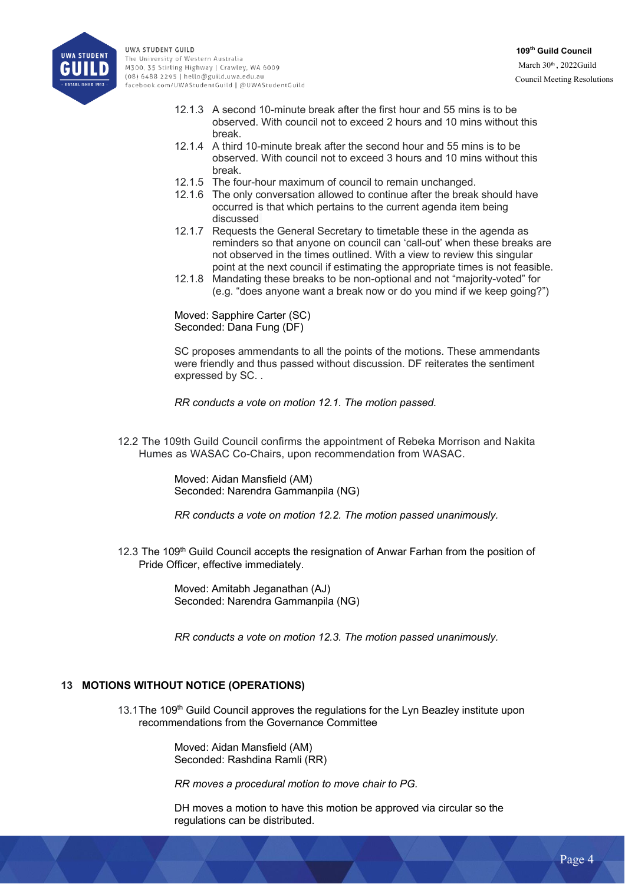

- 12.1.3 A second 10-minute break after the first hour and 55 mins is to be observed. With council not to exceed 2 hours and 10 mins without this break.
- 12.1.4 A third 10-minute break after the second hour and 55 mins is to be observed. With council not to exceed 3 hours and 10 mins without this break.
- 12.1.5 The four-hour maximum of council to remain unchanged.
- 12.1.6 The only conversation allowed to continue after the break should have occurred is that which pertains to the current agenda item being discussed
- 12.1.7 Requests the General Secretary to timetable these in the agenda as reminders so that anyone on council can 'call-out' when these breaks are not observed in the times outlined. With a view to review this singular point at the next council if estimating the appropriate times is not feasible.
- 12.1.8 Mandating these breaks to be non-optional and not "majority-voted" for (e.g. "does anyone want a break now or do you mind if we keep going?")

Moved: Sapphire Carter (SC) Seconded: Dana Fung (DF)

SC proposes ammendants to all the points of the motions. These ammendants were friendly and thus passed without discussion. DF reiterates the sentiment expressed by SC. .

*RR conducts a vote on motion 12.1. The motion passed.* 

12.2 The 109th Guild Council confirms the appointment of Rebeka Morrison and Nakita Humes as WASAC Co-Chairs, upon recommendation from WASAC.

> Moved: Aidan Mansfield (AM) Seconded: Narendra Gammanpila (NG)

*RR conducts a vote on motion 12.2. The motion passed unanimously.* 

12.3 The 109<sup>th</sup> Guild Council accepts the resignation of Anwar Farhan from the position of Pride Officer, effective immediately.

> Moved: Amitabh Jeganathan (AJ) Seconded: Narendra Gammanpila (NG)

*RR conducts a vote on motion 12.3. The motion passed unanimously.* 

### **13 MOTIONS WITHOUT NOTICE (OPERATIONS)**

13.1The 109<sup>th</sup> Guild Council approves the regulations for the Lyn Beazley institute upon recommendations from the Governance Committee

> Moved: Aidan Mansfield (AM) Seconded: Rashdina Ramli (RR)

*RR moves a procedural motion to move chair to PG.* 

DH moves a motion to have this motion be approved via circular so the regulations can be distributed.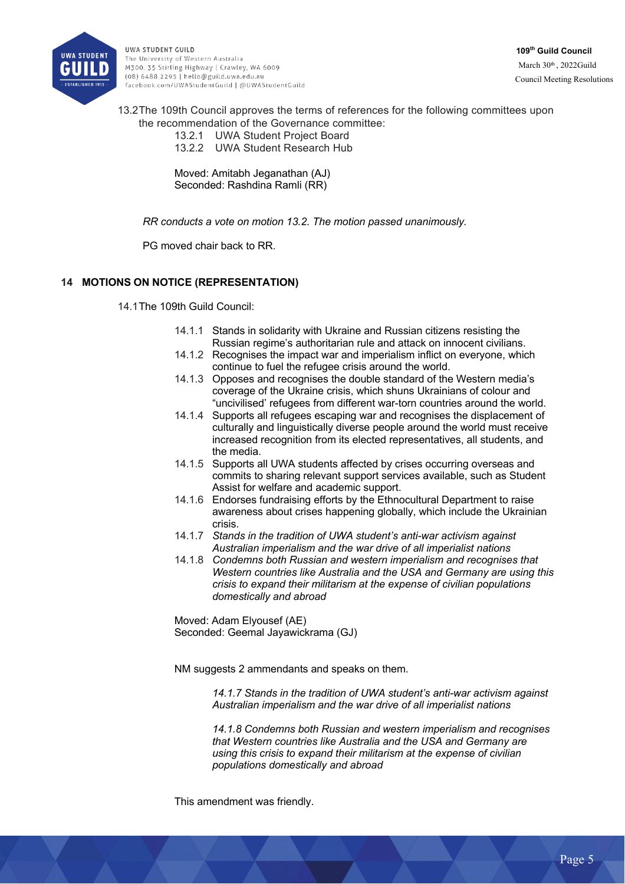

**109th Guild Council** March 30th, 2022Guild Council Meeting Resolutions

13.2The 109th Council approves the terms of references for the following committees upon the recommendation of the Governance committee:

> 13.2.1 UWA Student Project Board 13.2.2 UWA Student Research Hub

Moved: Amitabh Jeganathan (AJ) Seconded: Rashdina Ramli (RR)

*RR conducts a vote on motion 13.2. The motion passed unanimously.* 

PG moved chair back to RR.

# **14 MOTIONS ON NOTICE (REPRESENTATION)**

14.1The 109th Guild Council:

- 14.1.1 Stands in solidarity with Ukraine and Russian citizens resisting the Russian regime's authoritarian rule and attack on innocent civilians.
- 14.1.2 Recognises the impact war and imperialism inflict on everyone, which continue to fuel the refugee crisis around the world.
- 14.1.3 Opposes and recognises the double standard of the Western media's coverage of the Ukraine crisis, which shuns Ukrainians of colour and "uncivilised' refugees from different war-torn countries around the world.
- 14.1.4 Supports all refugees escaping war and recognises the displacement of culturally and linguistically diverse people around the world must receive increased recognition from its elected representatives, all students, and the media.
- 14.1.5 Supports all UWA students affected by crises occurring overseas and commits to sharing relevant support services available, such as Student Assist for welfare and academic support.
- 14.1.6 Endorses fundraising efforts by the Ethnocultural Department to raise awareness about crises happening globally, which include the Ukrainian crisis.
- 14.1.7 *Stands in the tradition of UWA student's anti-war activism against Australian imperialism and the war drive of all imperialist nations*
- 14.1.8 *Condemns both Russian and western imperialism and recognises that Western countries like Australia and the USA and Germany are using this crisis to expand their militarism at the expense of civilian populations domestically and abroad*

Moved: Adam Elyousef (AE) Seconded: Geemal Jayawickrama (GJ)

NM suggests 2 ammendants and speaks on them.

*14.1.7 Stands in the tradition of UWA student's anti-war activism against Australian imperialism and the war drive of all imperialist nations*

*14.1.8 Condemns both Russian and western imperialism and recognises that Western countries like Australia and the USA and Germany are using this crisis to expand their militarism at the expense of civilian populations domestically and abroad*

This amendment was friendly.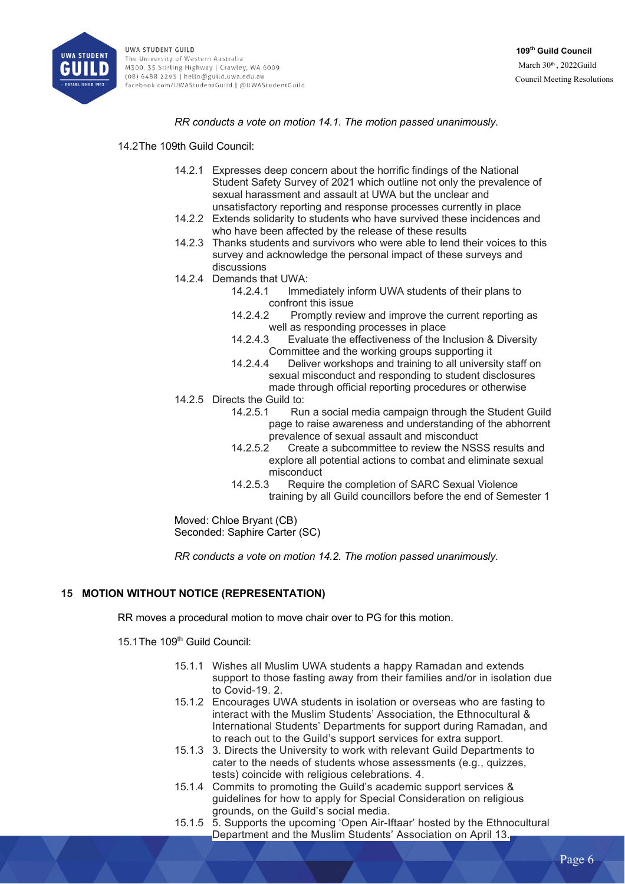

*RR conducts a vote on motion 14.1. The motion passed unanimously.* 

14.2The 109th Guild Council:

- 14.2.1 Expresses deep concern about the horrific findings of the National Student Safety Survey of 2021 which outline not only the prevalence of sexual harassment and assault at UWA but the unclear and unsatisfactory reporting and response processes currently in place
- 14.2.2 Extends solidarity to students who have survived these incidences and who have been affected by the release of these results
- 14.2.3 Thanks students and survivors who were able to lend their voices to this survey and acknowledge the personal impact of these surveys and discussions
- 14.2.4 Demands that UWA:
	- 14.2.4.1 Immediately inform UWA students of their plans to confront this issue
	- 14.2.4.2 Promptly review and improve the current reporting as well as responding processes in place
	- 14.2.4.3 Evaluate the effectiveness of the Inclusion & Diversity Committee and the working groups supporting it
	- 14.2.4.4 Deliver workshops and training to all university staff on sexual misconduct and responding to student disclosures made through official reporting procedures or otherwise
- 14.2.5 Directs the Guild to:
	- 14.2.5.1 Run a social media campaign through the Student Guild page to raise awareness and understanding of the abhorrent prevalence of sexual assault and misconduct
	- 14.2.5.2 Create a subcommittee to review the NSSS results and explore all potential actions to combat and eliminate sexual misconduct
	- 14.2.5.3 Require the completion of SARC Sexual Violence training by all Guild councillors before the end of Semester 1

Moved: Chloe Bryant (CB) Seconded: Saphire Carter (SC)

*RR conducts a vote on motion 14.2. The motion passed unanimously.* 

# **15 MOTION WITHOUT NOTICE (REPRESENTATION)**

RR moves a procedural motion to move chair over to PG for this motion.

- 15.1The 109<sup>th</sup> Guild Council:
	- 15.1.1 Wishes all Muslim UWA students a happy Ramadan and extends support to those fasting away from their families and/or in isolation due to Covid-19. 2.
	- 15.1.2 Encourages UWA students in isolation or overseas who are fasting to interact with the Muslim Students' Association, the Ethnocultural & International Students' Departments for support during Ramadan, and to reach out to the Guild's support services for extra support.
	- 15.1.3 3. Directs the University to work with relevant Guild Departments to cater to the needs of students whose assessments (e.g., quizzes, tests) coincide with religious celebrations. 4.
	- 15.1.4 Commits to promoting the Guild's academic support services & guidelines for how to apply for Special Consideration on religious grounds, on the Guild's social media.
	- 15.1.5 5. Supports the upcoming 'Open Air-Iftaar' hosted by the Ethnocultural Department and the Muslim Students' Association on April 13.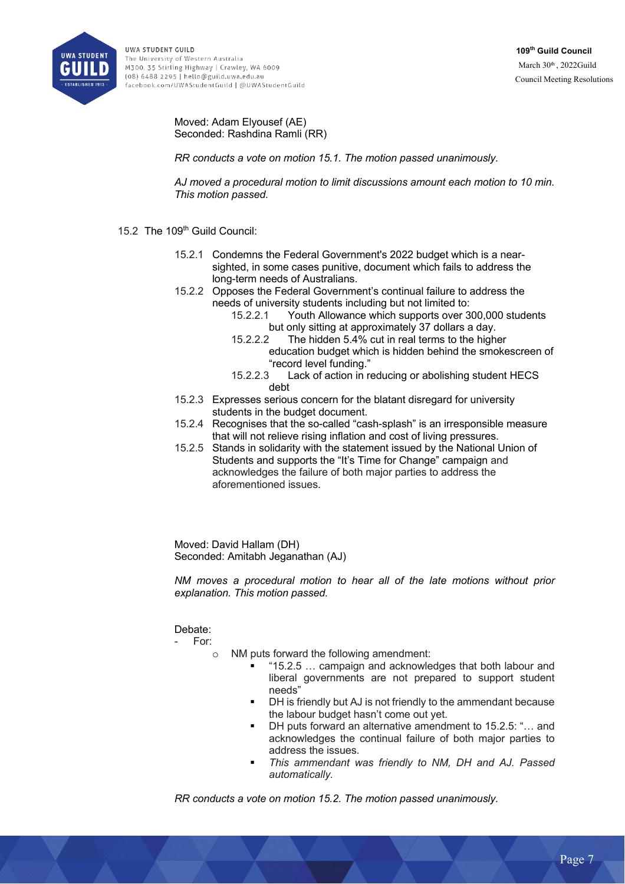

# Moved: Adam Elyousef (AE) Seconded: Rashdina Ramli (RR)

*RR conducts a vote on motion 15.1. The motion passed unanimously.* 

*AJ moved a procedural motion to limit discussions amount each motion to 10 min. This motion passed.* 

# 15.2 The 109<sup>th</sup> Guild Council:

- 15.2.1 Condemns the Federal Government's 2022 budget which is a nearsighted, in some cases punitive, document which fails to address the long-term needs of Australians.
- 15.2.2 Opposes the Federal Government's continual failure to address the needs of university students including but not limited to:
	- 15.2.2.1 Youth Allowance which supports over 300,000 students but only sitting at approximately 37 dollars a day.
	- 15.2.2.2 The hidden 5.4% cut in real terms to the higher education budget which is hidden behind the smokescreen of "record level funding."
	- 15.2.2.3 Lack of action in reducing or abolishing student HECS debt
- 15.2.3 Expresses serious concern for the blatant disregard for university students in the budget document.
- 15.2.4 Recognises that the so-called "cash-splash" is an irresponsible measure that will not relieve rising inflation and cost of living pressures.
- 15.2.5 Stands in solidarity with the statement issued by the National Union of Students and supports the "It's Time for Change" campaign and acknowledges the failure of both major parties to address the aforementioned issues.

Moved: David Hallam (DH) Seconded: Amitabh Jeganathan (AJ)

*NM moves a procedural motion to hear all of the late motions without prior explanation. This motion passed.*

# Debate:

- For:

- NM puts forward the following amendment:
	- § "15.2.5 … campaign and acknowledges that both labour and liberal governments are not prepared to support student needs"
	- DH is friendly but AJ is not friendly to the ammendant because the labour budget hasn't come out yet.
	- DH puts forward an alternative amendment to 15.2.5: "... and acknowledges the continual failure of both major parties to address the issues.
	- § *This ammendant was friendly to NM, DH and AJ. Passed automatically.*

*RR conducts a vote on motion 15.2. The motion passed unanimously.*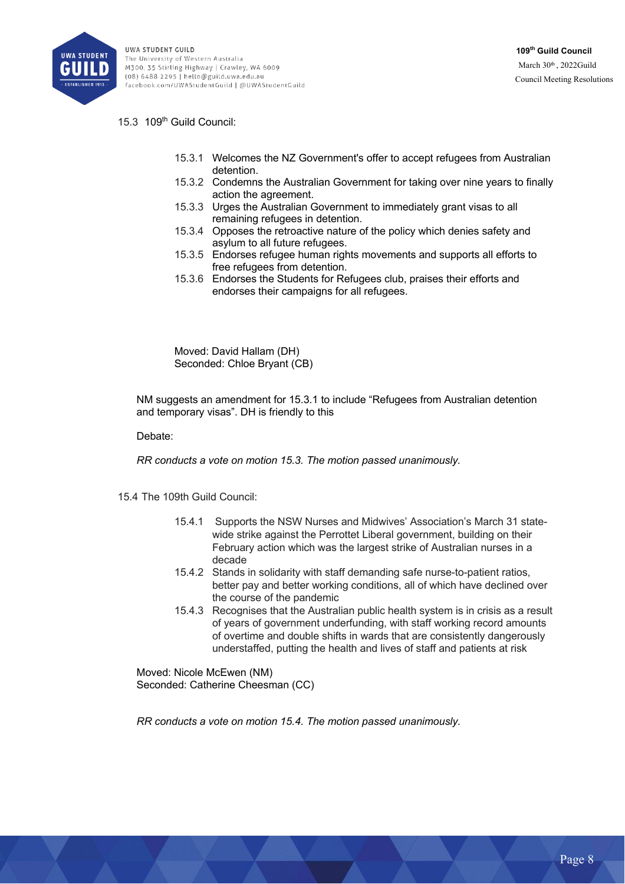

# 15.3 109th Guild Council:

- 15.3.1 Welcomes the NZ Government's offer to accept refugees from Australian detention.
- 15.3.2 Condemns the Australian Government for taking over nine years to finally action the agreement.
- 15.3.3 Urges the Australian Government to immediately grant visas to all remaining refugees in detention.
- 15.3.4 Opposes the retroactive nature of the policy which denies safety and asylum to all future refugees.
- 15.3.5 Endorses refugee human rights movements and supports all efforts to free refugees from detention.
- 15.3.6 Endorses the Students for Refugees club, praises their efforts and endorses their campaigns for all refugees.

Moved: David Hallam (DH) Seconded: Chloe Bryant (CB)

NM suggests an amendment for 15.3.1 to include "Refugees from Australian detention and temporary visas". DH is friendly to this

Debate:

*RR conducts a vote on motion 15.3. The motion passed unanimously.* 

- 15.4 The 109th Guild Council:
	- 15.4.1 Supports the NSW Nurses and Midwives' Association's March 31 statewide strike against the Perrottet Liberal government, building on their February action which was the largest strike of Australian nurses in a decade
	- 15.4.2 Stands in solidarity with staff demanding safe nurse-to-patient ratios, better pay and better working conditions, all of which have declined over the course of the pandemic
	- 15.4.3 Recognises that the Australian public health system is in crisis as a result of years of government underfunding, with staff working record amounts of overtime and double shifts in wards that are consistently dangerously understaffed, putting the health and lives of staff and patients at risk

Moved: Nicole McEwen (NM) Seconded: Catherine Cheesman (CC)

*RR conducts a vote on motion 15.4. The motion passed unanimously.*